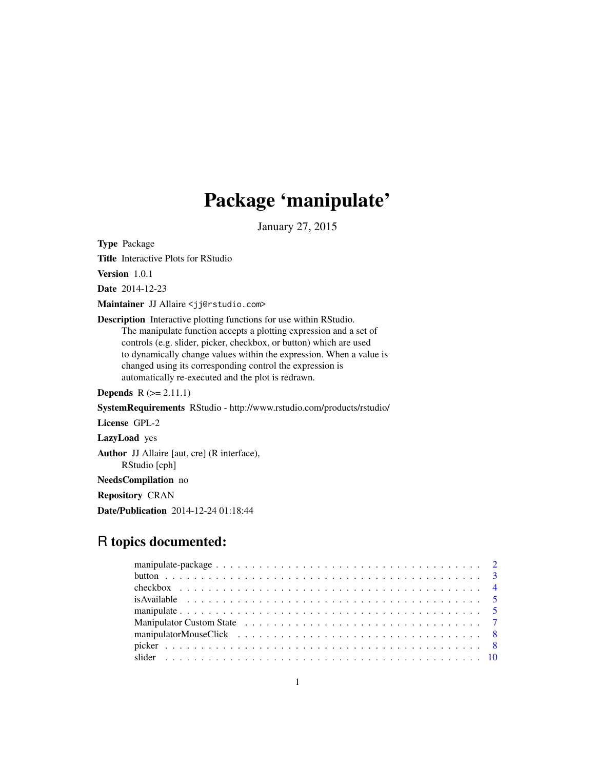## Package 'manipulate'

January 27, 2015

<span id="page-0-0"></span>Type Package

Title Interactive Plots for RStudio

Version 1.0.1

Date 2014-12-23

Maintainer JJ Allaire <jj@rstudio.com>

Description Interactive plotting functions for use within RStudio. The manipulate function accepts a plotting expression and a set of controls (e.g. slider, picker, checkbox, or button) which are used to dynamically change values within the expression. When a value is changed using its corresponding control the expression is automatically re-executed and the plot is redrawn.

**Depends**  $R$  ( $>= 2.11.1$ )

SystemRequirements RStudio - http://www.rstudio.com/products/rstudio/

License GPL-2

LazyLoad yes

Author JJ Allaire [aut, cre] (R interface), RStudio [cph]

NeedsCompilation no

Repository CRAN

Date/Publication 2014-12-24 01:18:44

## R topics documented: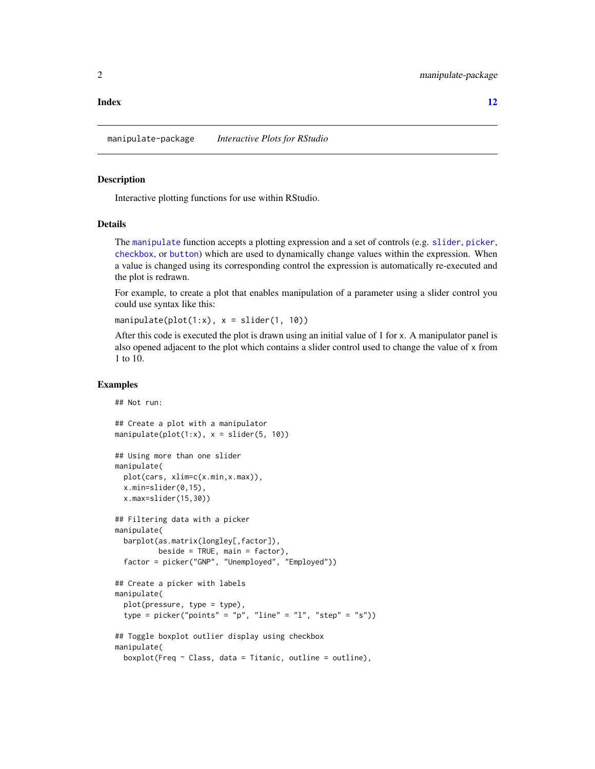#### <span id="page-1-0"></span>**Index** [12](#page-11-0)

manipulate-package *Interactive Plots for RStudio*

#### **Description**

Interactive plotting functions for use within RStudio.

## Details

The [manipulate](#page-4-1) function accepts a plotting expression and a set of controls (e.g. [slider](#page-9-1), [picker](#page-7-1), [checkbox](#page-3-1), or [button](#page-2-1)) which are used to dynamically change values within the expression. When a value is changed using its corresponding control the expression is automatically re-executed and the plot is redrawn.

For example, to create a plot that enables manipulation of a parameter using a slider control you could use syntax like this:

```
manipulate(plot(1:x), x = slider(1, 10))
```
After this code is executed the plot is drawn using an initial value of 1 for x. A manipulator panel is also opened adjacent to the plot which contains a slider control used to change the value of x from 1 to 10.

## Examples

## Not run:

```
## Create a plot with a manipulator
manipulate(plot(1:x), x = slide(5, 10))## Using more than one slider
manipulate(
 plot(cars, xlim=c(x.min,x.max)),
 x.min=slider(0,15),
 x.max=slider(15,30))
## Filtering data with a picker
manipulate(
 barplot(as.matrix(longley[,factor]),
          beside = TRUE, main = factor,
 factor = picker("GNP", "Unemployed", "Employed"))
## Create a picker with labels
manipulate(
 plot(pressure, type = type),
 type = picker("points" = "p", "line" = "l", "step" = "s"))
## Toggle boxplot outlier display using checkbox
manipulate(
 boxplot(Freq \sim Class, data = Titanic, outline = outline),
```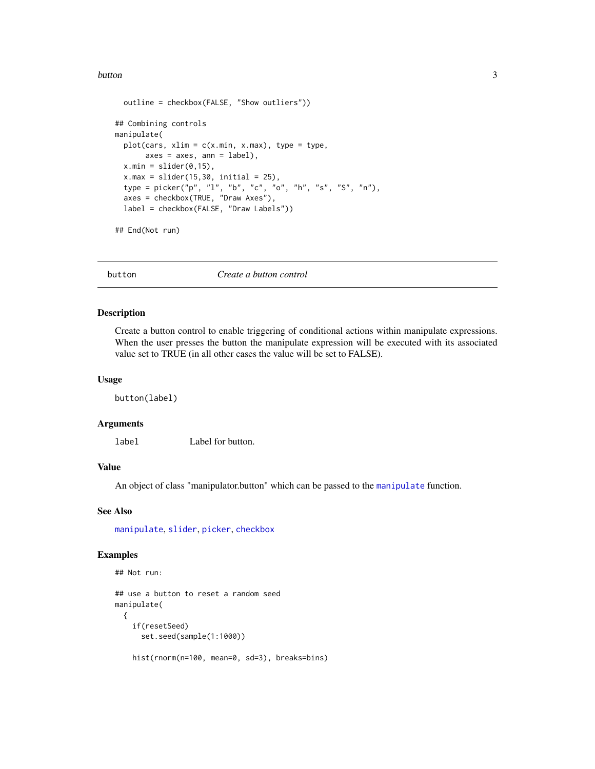#### <span id="page-2-0"></span>button 3

```
outline = checkbox(FALSE, "Show outliers"))
## Combining controls
manipulate(
  plot(cars, xlim = c(x.min, x.max), type = type,axes = axes, ann = label),x.min = slider(0, 15),
  x.max = slider(15, 30, initial = 25),
  type = picker("p", "l", "b", "c", "o", "h", "s", "S", "n"),
  axes = checkbox(TRUE, "Draw Axes"),
  label = checkbox(FALSE, "Draw Labels"))
## End(Not run)
```
<span id="page-2-1"></span>

button *Create a button control*

#### Description

Create a button control to enable triggering of conditional actions within manipulate expressions. When the user presses the button the manipulate expression will be executed with its associated value set to TRUE (in all other cases the value will be set to FALSE).

## Usage

button(label)

#### Arguments

label Label for button.

## Value

An object of class "manipulator.button" which can be passed to the [manipulate](#page-4-1) function.

#### See Also

[manipulate](#page-4-1), [slider](#page-9-1), [picker](#page-7-1), [checkbox](#page-3-1)

#### Examples

```
## Not run:
```

```
## use a button to reset a random seed
manipulate(
 {
   if(resetSeed)
     set.seed(sample(1:1000))
   hist(rnorm(n=100, mean=0, sd=3), breaks=bins)
```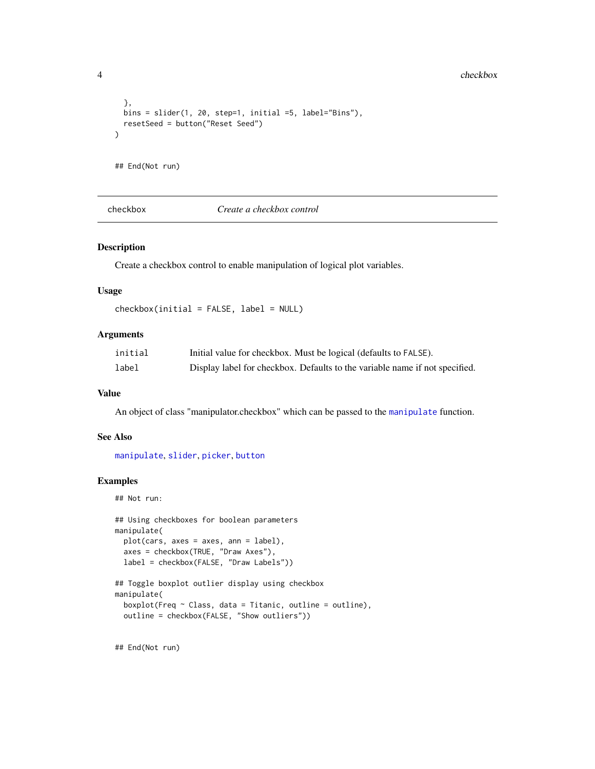```
},
  bins = slider(1, 20, step=1, initial =5, label="Bins"),
  resetSeed = button("Reset Seed")
\mathcal{L}## End(Not run)
```
<span id="page-3-1"></span>checkbox *Create a checkbox control*

#### Description

Create a checkbox control to enable manipulation of logical plot variables.

#### Usage

checkbox(initial = FALSE, label = NULL)

## Arguments

| initial | Initial value for checkbox. Must be logical (defaults to FALSE).            |
|---------|-----------------------------------------------------------------------------|
| label   | Display label for checkbox. Defaults to the variable name if not specified. |

#### Value

An object of class "manipulator.checkbox" which can be passed to the [manipulate](#page-4-1) function.

## See Also

[manipulate](#page-4-1), [slider](#page-9-1), [picker](#page-7-1), [button](#page-2-1)

### Examples

## Not run:

```
## Using checkboxes for boolean parameters
manipulate(
  plot(cars, axes = axes, ann = label),
  axes = checkbox(TRUE, "Draw Axes"),
  label = checkbox(FALSE, "Draw Labels"))
```

```
## Toggle boxplot outlier display using checkbox
manipulate(
 boxplot(Freq \sim Class, data = Titanic, outline = outline),
 outline = checkbox(FALSE, "Show outliers"))
```
## End(Not run)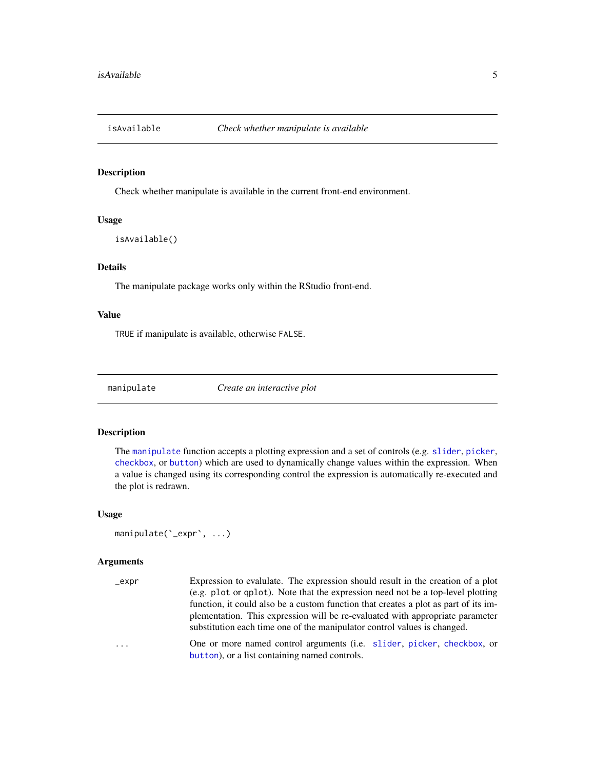<span id="page-4-0"></span>

## Description

Check whether manipulate is available in the current front-end environment.

## Usage

```
isAvailable()
```
## Details

The manipulate package works only within the RStudio front-end.

## Value

TRUE if manipulate is available, otherwise FALSE.

<span id="page-4-1"></span>

manipulate *Create an interactive plot*

## Description

The [manipulate](#page-4-1) function accepts a plotting expression and a set of controls (e.g. [slider](#page-9-1), [picker](#page-7-1), [checkbox](#page-3-1), or [button](#page-2-1)) which are used to dynamically change values within the expression. When a value is changed using its corresponding control the expression is automatically re-executed and the plot is redrawn.

#### Usage

```
manipulate(`_expr`, ...)
```
## Arguments

| _expr | Expression to evalulate. The expression should result in the creation of a plot                                                                           |
|-------|-----------------------------------------------------------------------------------------------------------------------------------------------------------|
|       | (e.g. plot or qplot). Note that the expression need not be a top-level plotting                                                                           |
|       | function, it could also be a custom function that creates a plot as part of its im-                                                                       |
|       | plementation. This expression will be re-evaluated with appropriate parameter<br>substitution each time one of the manipulator control values is changed. |
| .     | One or more named control arguments (i.e. slider, picker, checkbox, or<br>button), or a list containing named controls.                                   |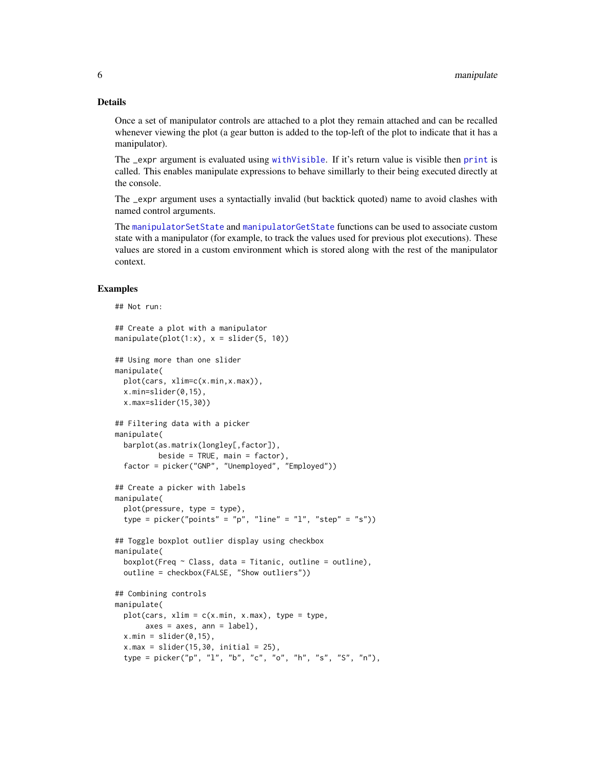#### <span id="page-5-0"></span>Details

Once a set of manipulator controls are attached to a plot they remain attached and can be recalled whenever viewing the plot (a gear button is added to the top-left of the plot to indicate that it has a manipulator).

The \_expr argument is evaluated using [withVisible](#page-0-0). If it's return value is visible then [print](#page-0-0) is called. This enables manipulate expressions to behave simillarly to their being executed directly at the console.

The \_expr argument uses a syntactially invalid (but backtick quoted) name to avoid clashes with named control arguments.

The [manipulatorSetState](#page-6-1) and [manipulatorGetState](#page-6-1) functions can be used to associate custom state with a manipulator (for example, to track the values used for previous plot executions). These values are stored in a custom environment which is stored along with the rest of the manipulator context.

#### Examples

```
## Not run:
## Create a plot with a manipulator
manipulate(plot(1:x), x = slider(5, 10))
## Using more than one slider
manipulate(
 plot(cars, xlim=c(x.min,x.max)),
 x.min=slider(0,15),
 x.max=slider(15,30))
## Filtering data with a picker
manipulate(
 barplot(as.matrix(longley[,factor]),
          beside = TRUE, main = factor),
 factor = picker("GNP", "Unemployed", "Employed"))
## Create a picker with labels
manipulate(
 plot(pressure, type = type),
 type = picker("points" = "p", "line" = "l", "step" = "s"))
## Toggle boxplot outlier display using checkbox
manipulate(
 boxplot(Freq ~ Class, data = Titanic, outline = outline),
 outline = checkbox(FALSE, "Show outliers"))
## Combining controls
manipulate(
 plot(cars, xlim = c(x.min, x.max), type = type,
      axes = axes, ann = label),x.min = slider(0, 15),
 x.max = slider(15,30, initial = 25),
 type = picker("p", "l", "b", "c", "o", "h", "s", "S", "n"),
```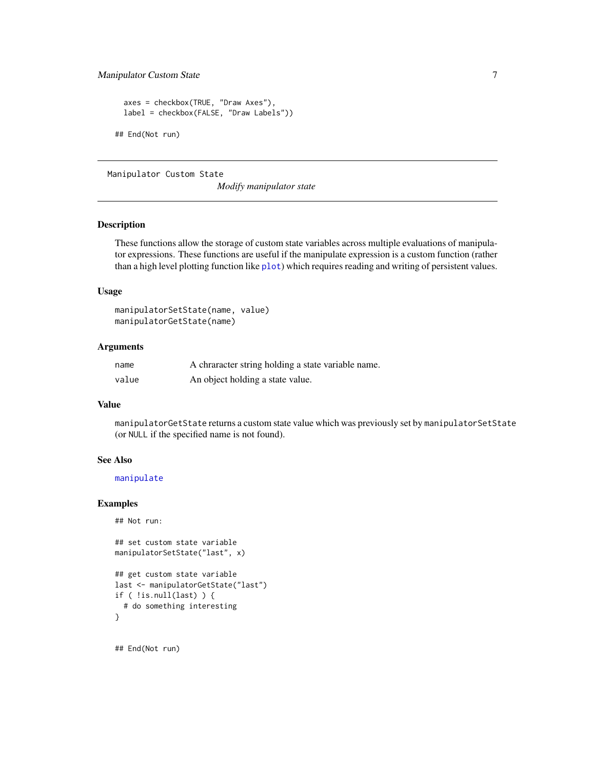## <span id="page-6-0"></span>Manipulator Custom State 7

```
axes = checkbox(TRUE, "Draw Axes"),
 label = checkbox(FALSE, "Draw Labels"))
## End(Not run)
```
Manipulator Custom State

*Modify manipulator state*

## <span id="page-6-1"></span>Description

These functions allow the storage of custom state variables across multiple evaluations of manipulator expressions. These functions are useful if the manipulate expression is a custom function (rather than a high level [plot](#page-0-0)ting function like plot) which requires reading and writing of persistent values.

#### Usage

```
manipulatorSetState(name, value)
manipulatorGetState(name)
```
## Arguments

| name  | A chranacter string holding a state variable name. |
|-------|----------------------------------------------------|
| value | An object holding a state value.                   |

#### Value

manipulatorGetState returns a custom state value which was previously set by manipulatorSetState (or NULL if the specified name is not found).

## See Also

#### [manipulate](#page-4-1)

## Examples

```
## Not run:
```

```
## set custom state variable
manipulatorSetState("last", x)
```

```
## get custom state variable
last <- manipulatorGetState("last")
if ( !is.null(last) ) {
  # do something interesting
}
```
## End(Not run)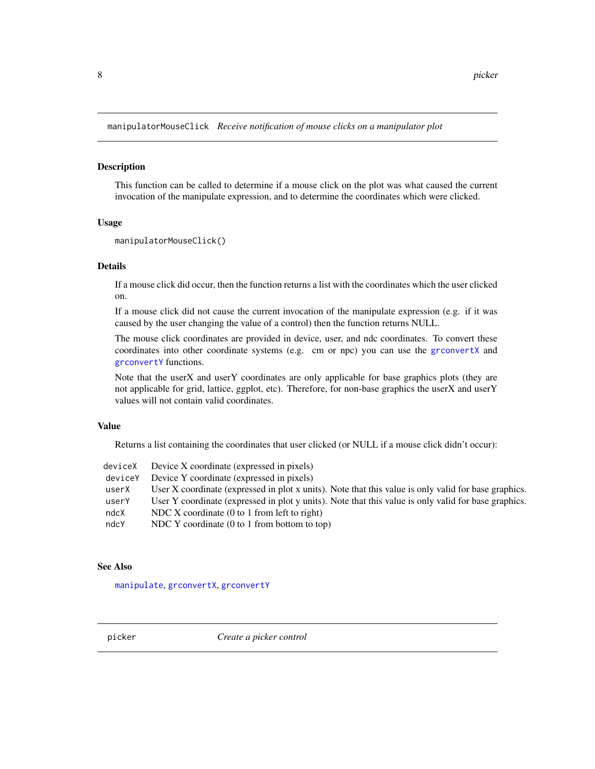<span id="page-7-0"></span>manipulatorMouseClick *Receive notification of mouse clicks on a manipulator plot*

#### Description

This function can be called to determine if a mouse click on the plot was what caused the current invocation of the manipulate expression, and to determine the coordinates which were clicked.

#### Usage

```
manipulatorMouseClick()
```
#### Details

If a mouse click did occur, then the function returns a list with the coordinates which the user clicked on.

If a mouse click did not cause the current invocation of the manipulate expression (e.g. if it was caused by the user changing the value of a control) then the function returns NULL.

The mouse click coordinates are provided in device, user, and ndc coordinates. To convert these coordinates into other coordinate systems (e.g. cm or npc) you can use the [grconvertX](#page-0-0) and [grconvertY](#page-0-0) functions.

Note that the userX and userY coordinates are only applicable for base graphics plots (they are not applicable for grid, lattice, ggplot, etc). Therefore, for non-base graphics the userX and userY values will not contain valid coordinates.

## Value

Returns a list containing the coordinates that user clicked (or NULL if a mouse click didn't occur):

|         | deviceX Device X coordinate (expressed in pixels)                                                    |
|---------|------------------------------------------------------------------------------------------------------|
| deviceY | Device Y coordinate (expressed in pixels)                                                            |
| userX   | User X coordinate (expressed in plot x units). Note that this value is only valid for base graphics. |
| userY   | User Y coordinate (expressed in plot y units). Note that this value is only valid for base graphics. |
| ndcX    | NDC X coordinate $(0 \text{ to } 1 \text{ from left to right})$                                      |
| ndcY    | NDC Y coordinate $(0 \text{ to } 1 \text{ from bottom to top})$                                      |
|         |                                                                                                      |

#### See Also

[manipulate](#page-4-1), [grconvertX](#page-0-0), [grconvertY](#page-0-0)

<span id="page-7-1"></span>picker *Create a picker control*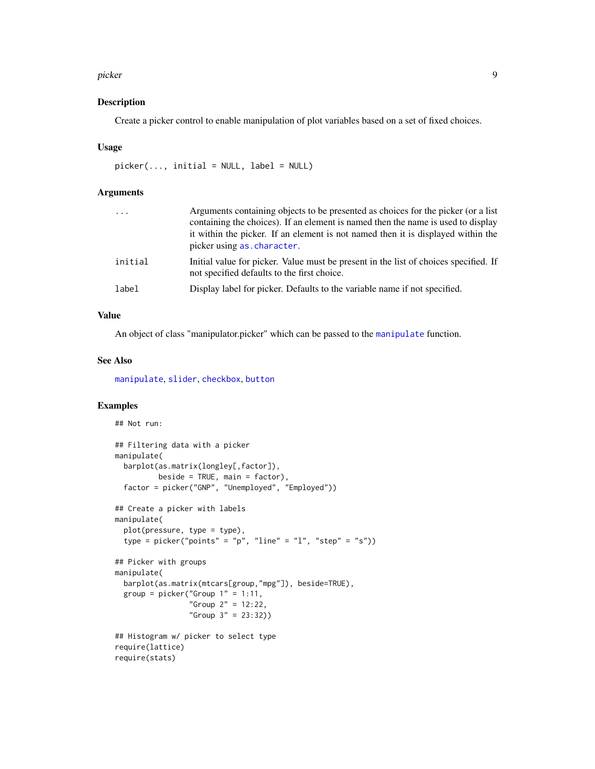#### <span id="page-8-0"></span>picker 1986 – 1986 – 1987 – 1988 – 1988 – 1988 – 1988 – 1988 – 1988 – 1988 – 1988 – 1988 – 1988 – 1988 – 1988

## Description

Create a picker control to enable manipulation of plot variables based on a set of fixed choices.

#### Usage

```
picture(..., initial = NULL, label = NULL)
```
## Arguments

| $\ddots$ . | Arguments containing objects to be presented as choices for the picker (or a list<br>containing the choices). If an element is named then the name is used to display<br>it within the picker. If an element is not named then it is displayed within the<br>picker using as. character. |
|------------|------------------------------------------------------------------------------------------------------------------------------------------------------------------------------------------------------------------------------------------------------------------------------------------|
| initial    | Initial value for picker. Value must be present in the list of choices specified. If<br>not specified defaults to the first choice.                                                                                                                                                      |
| label      | Display label for picker. Defaults to the variable name if not specified.                                                                                                                                                                                                                |

## Value

An object of class "manipulator.picker" which can be passed to the [manipulate](#page-4-1) function.

### See Also

[manipulate](#page-4-1), [slider](#page-9-1), [checkbox](#page-3-1), [button](#page-2-1)

## Examples

```
## Not run:
## Filtering data with a picker
manipulate(
  barplot(as.matrix(longley[,factor]),
          beside = TRUE, main = factor),
  factor = picker("GNP", "Unemployed", "Employed"))
## Create a picker with labels
manipulate(
  plot(pressure, type = type),
  type = picker("points" = "p", "line" = "l", "step" = "s"))
## Picker with groups
manipulate(
  barplot(as.matrix(mtcars[group,"mpg"]), beside=TRUE),
  group = picture("Group 1" = 1:11,"Group 2" = 12:22,
                 "Group 3" = 23:32))
## Histogram w/ picker to select type
require(lattice)
require(stats)
```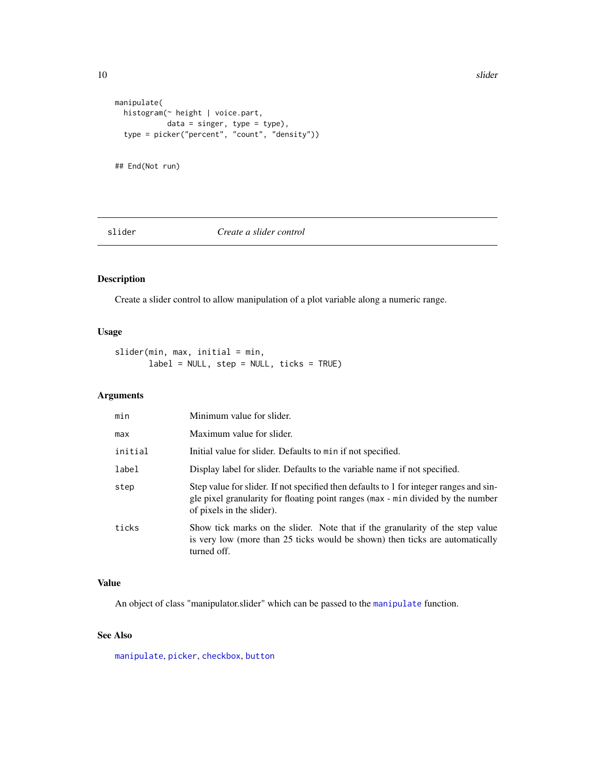```
manipulate(
  histogram(~ height | voice.part,
            data = singer, type = type),
  type = picker("percent", "count", "density"))
## End(Not run)
```
### <span id="page-9-1"></span>slider *Create a slider control*

## Description

Create a slider control to allow manipulation of a plot variable along a numeric range.

## Usage

```
slider(min, max, initial = min,
       label = NULL, step = NULL, ticks = TRUE)
```
## Arguments

| min     | Minimum value for slider.                                                                                                                                                                               |
|---------|---------------------------------------------------------------------------------------------------------------------------------------------------------------------------------------------------------|
| max     | Maximum value for slider.                                                                                                                                                                               |
| initial | Initial value for slider. Defaults to min if not specified.                                                                                                                                             |
| label   | Display label for slider. Defaults to the variable name if not specified.                                                                                                                               |
| step    | Step value for slider. If not specified then defaults to 1 for integer ranges and sin-<br>gle pixel granularity for floating point ranges (max - min divided by the number<br>of pixels in the slider). |
| ticks   | Show tick marks on the slider. Note that if the granularity of the step value<br>is very low (more than 25 ticks would be shown) then ticks are automatically<br>turned off.                            |

## Value

An object of class "manipulator.slider" which can be passed to the [manipulate](#page-4-1) function.

## See Also

[manipulate](#page-4-1), [picker](#page-7-1), [checkbox](#page-3-1), [button](#page-2-1)

<span id="page-9-0"></span>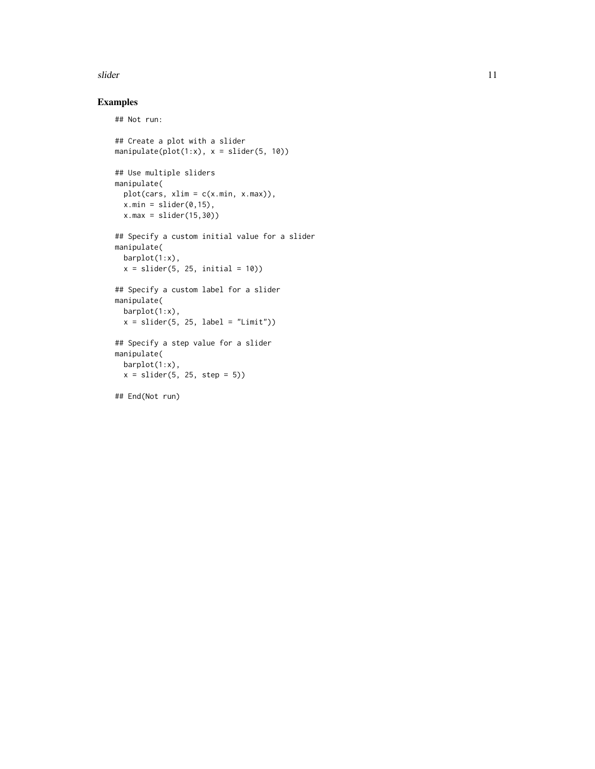#### slider the contract of the state of the state of the state of the state of the state of the state of the state of the state of the state of the state of the state of the state of the state of the state of the state of the

## Examples

## Not run:

```
## Create a plot with a slider
manipulate(plot(1:x), x = slider(5, 10))
## Use multiple sliders
manipulate(
  plot(cars, xlim = c(x.min, x.max)),x.min = slider(0, 15),
 x.max = slider(15,30))
## Specify a custom initial value for a slider
manipulate(
 barplot(1:x),
 x = slider(5, 25, initial = 10))
## Specify a custom label for a slider
manipulate(
 barplot(1:x),
 x = slider(5, 25, label = "Limit"))
## Specify a step value for a slider
manipulate(
  barplot(1:x),
  x = slider(5, 25, step = 5))
```
## End(Not run)